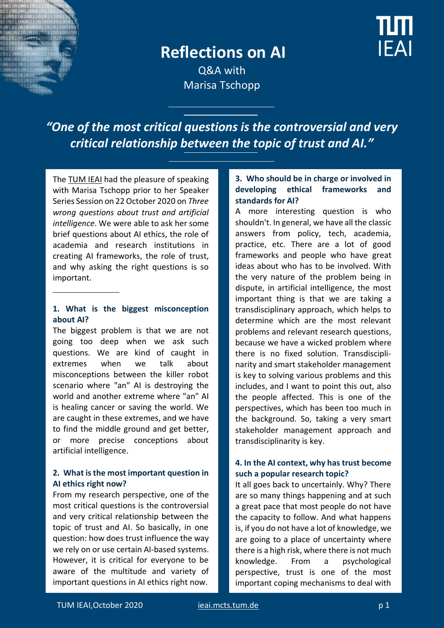

# **Reflections on AI**



Q&A with Marisa Tschopp

*"One of the most critical questions is the controversial and very critical relationship between the topic of trust and AI."*

The [TUM IEAI](https://ieai.mcts.tum.de/) had the pleasure of speaking with Marisa Tschopp prior to her Speaker Series Session on 22 October 2020 on *Three wrong questions about trust and artificial intelligence*. We were able to ask her some brief questions about AI ethics, the role of academia and research institutions in creating AI frameworks, the role of trust, and why asking the right questions is so important.

#### **1. What is the biggest misconception about AI?**

The biggest problem is that we are not going too deep when we ask such questions. We are kind of caught in extremes when we talk about misconceptions between the killer robot scenario where "an" AI is destroying the world and another extreme where "an" AI is healing cancer or saving the world. We are caught in these extremes, and we have to find the middle ground and get better, or more precise conceptions about artificial intelligence.

#### **2. What is the most important question in AI ethics right now?**

From my research perspective, one of the most critical questions is the controversial and very critical relationship between the topic of trust and AI. So basically, in one question: how does trust influence the way we rely on or use certain AI-based systems. However, it is critical for everyone to be aware of the multitude and variety of important questions in AI ethics right now.

## **3. Who should be in charge or involved in developing ethical frameworks and standards for AI?**

A more interesting question is who shouldn't. In general, we have all the classic answers from policy, tech, academia, practice, etc. There are a lot of good frameworks and people who have great ideas about who has to be involved. With the very nature of the problem being in dispute, in artificial intelligence, the most important thing is that we are taking a transdisciplinary approach, which helps to determine which are the most relevant problems and relevant research questions, because we have a wicked problem where there is no fixed solution. Transdisciplinarity and smart stakeholder management is key to solving various problems and this includes, and I want to point this out, also the people affected. This is one of the perspectives, which has been too much in the background. So, taking a very smart stakeholder management approach and transdisciplinarity is key.

#### **4. In the AI context, why has trust become such a popular research topic?**

It all goes back to uncertainly. Why? There are so many things happening and at such a great pace that most people do not have the capacity to follow. And what happens is, if you do not have a lot of knowledge, we are going to a place of uncertainty where there is a high risk, where there is not much knowledge. From a psychological perspective, trust is one of the most important coping mechanisms to deal with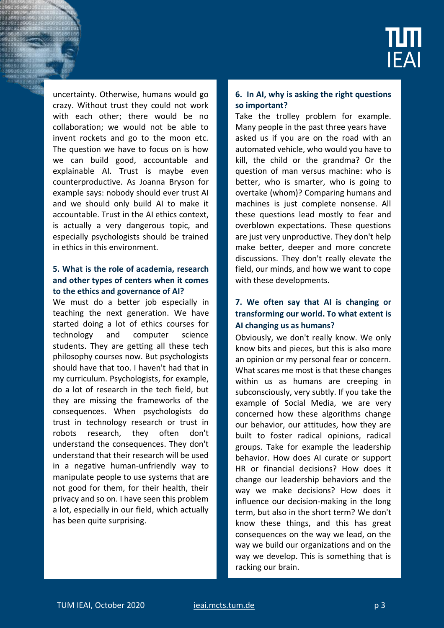

uncertainty. Otherwise, humans would go crazy. Without trust they could not work with each other; there would be no collaboration; we would not be able to invent rockets and go to the moon etc. The question we have to focus on is how we can build good, accountable and explainable AI. Trust is maybe even counterproductive. As Joanna Bryson for example says: nobody should ever trust AI and we should only build AI to make it accountable. Trust in the AI ethics context, is actually a very dangerous topic, and especially psychologists should be trained in ethics in this environment.

#### **5. What is the role of academia, research and other types of centers when it comes to the ethics and governance of AI?**

We must do a better job especially in teaching the next generation. We have started doing a lot of ethics courses for technology and computer science students. They are getting all these tech philosophy courses now. But psychologists should have that too. I haven't had that in my curriculum. Psychologists, for example, do a lot of research in the tech field, but they are missing the frameworks of the consequences. When psychologists do trust in technology research or trust in robots research, they often don't understand the consequences. They don't understand that their research will be used in a negative human-unfriendly way to manipulate people to use systems that are not good for them, for their health, their privacy and so on. I have seen this problem a lot, especially in our field, which actually has been quite surprising.

#### **6. In AI, why is asking the right questions so important?**

Take the trolley problem for example. Many people in the past three years have asked us if you are on the road with an automated vehicle, who would you have to kill, the child or the grandma? Or the question of man versus machine: who is better, who is smarter, who is going to overtake (whom)? Comparing humans and machines is just complete nonsense. All these questions lead mostly to fear and overblown expectations. These questions are just very unproductive. They don't help make better, deeper and more concrete discussions. They don't really elevate the field, our minds, and how we want to cope with these developments.

### **7. We often say that AI is changing or transforming our world. To what extent is AI changing us as humans?**

Obviously, we don't really know. We only know bits and pieces, but this is also more an opinion or my personal fear or concern. What scares me most is that these changes within us as humans are creeping in subconsciously, very subtly. If you take the example of Social Media, we are very concerned how these algorithms change our behavior, our attitudes, how they are built to foster radical opinions, radical groups. Take for example the leadership behavior. How does AI curate or support HR or financial decisions? How does it change our leadership behaviors and the way we make decisions? How does it influence our decision-making in the long term, but also in the short term? We don't know these things, and this has great consequences on the way we lead, on the way we build our organizations and on the way we develop. This is something that is racking our brain.